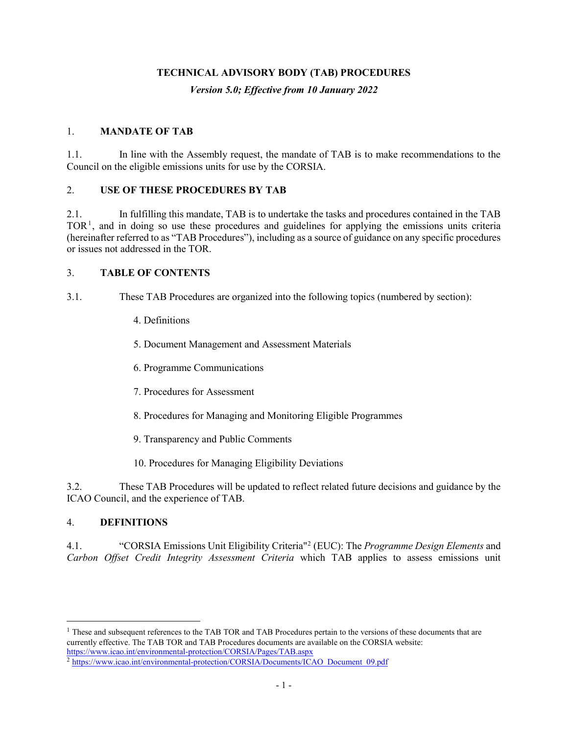#### **TECHNICAL ADVISORY BODY (TAB) PROCEDURES**

*Version 5.0; Effective from 10 January 2022*

#### 1. **MANDATE OF TAB**

1.1. In line with the Assembly request, the mandate of TAB is to make recommendations to the Council on the eligible emissions units for use by the CORSIA.

#### 2. **USE OF THESE PROCEDURES BY TAB**

2.1. In fulfilling this mandate, TAB is to undertake the tasks and procedures contained in the TAB  $TOR<sup>1</sup>$  $TOR<sup>1</sup>$  $TOR<sup>1</sup>$ , and in doing so use these procedures and guidelines for applying the emissions units criteria (hereinafter referred to as "TAB Procedures"), including as a source of guidance on any specific procedures or issues not addressed in the TOR.

#### 3. **TABLE OF CONTENTS**

- 3.1. These TAB Procedures are organized into the following topics (numbered by section):
	- 4. Definitions
	- 5. Document Management and Assessment Materials
	- 6. Programme Communications
	- 7. Procedures for Assessment
	- 8. Procedures for Managing and Monitoring Eligible Programmes
	- 9. Transparency and Public Comments
	- 10. Procedures for Managing Eligibility Deviations

3.2. These TAB Procedures will be updated to reflect related future decisions and guidance by the ICAO Council, and the experience of TAB.

#### 4. **DEFINITIONS**

4.1. "CORSIA Emissions Unit Eligibility Criteria"[2](#page-0-1) (EUC): The *Programme Design Elements* and *Carbon Offset Credit Integrity Assessment Criteria* which TAB applies to assess emissions unit

<span id="page-0-0"></span><sup>&</sup>lt;sup>1</sup> These and subsequent references to the TAB TOR and TAB Procedures pertain to the versions of these documents that are currently effective. The TAB TOR and TAB Procedures documents are available on the CORSIA website: <https://www.icao.int/environmental-protection/CORSIA/Pages/TAB.aspx>

<span id="page-0-1"></span><sup>&</sup>lt;sup>2</sup> [https://www.icao.int/environmental-protection/CORSIA/Documents/ICAO\\_Document\\_09.pdf](https://www.icao.int/environmental-protection/CORSIA/Documents/ICAO_Document_09.pdf)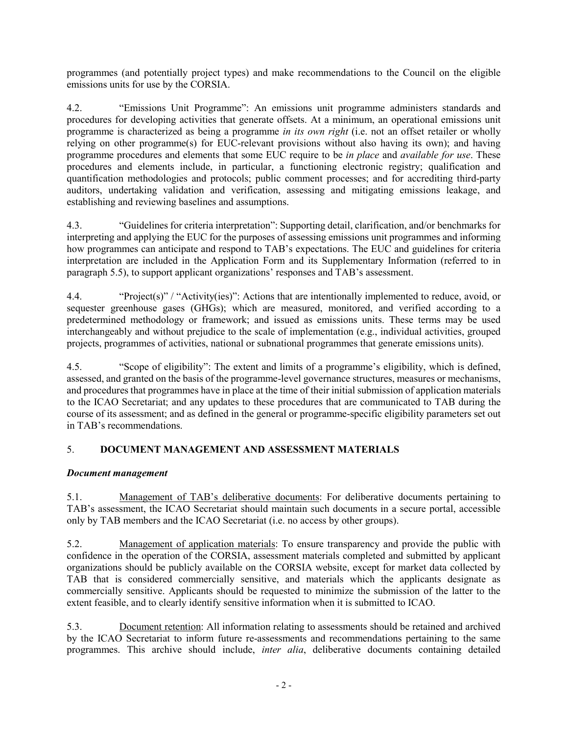programmes (and potentially project types) and make recommendations to the Council on the eligible emissions units for use by the CORSIA.

4.2. "Emissions Unit Programme": An emissions unit programme administers standards and procedures for developing activities that generate offsets. At a minimum, an operational emissions unit programme is characterized as being a programme *in its own right* (i.e. not an offset retailer or wholly relying on other programme(s) for EUC-relevant provisions without also having its own); and having programme procedures and elements that some EUC require to be *in place* and *available for use*. These procedures and elements include, in particular, a functioning electronic registry; qualification and quantification methodologies and protocols; public comment processes; and for accrediting third-party auditors, undertaking validation and verification, assessing and mitigating emissions leakage, and establishing and reviewing baselines and assumptions.

4.3. "Guidelines for criteria interpretation": Supporting detail, clarification, and/or benchmarks for interpreting and applying the EUC for the purposes of assessing emissions unit programmes and informing how programmes can anticipate and respond to TAB's expectations. The EUC and guidelines for criteria interpretation are included in the Application Form and its Supplementary Information (referred to in paragraph 5.5), to support applicant organizations' responses and TAB's assessment.

4.4. "Project(s)" / "Activity(ies)": Actions that are intentionally implemented to reduce, avoid, or sequester greenhouse gases (GHGs); which are measured, monitored, and verified according to a predetermined methodology or framework; and issued as emissions units. These terms may be used interchangeably and without prejudice to the scale of implementation (e.g., individual activities, grouped projects, programmes of activities, national or subnational programmes that generate emissions units).

4.5. "Scope of eligibility": The extent and limits of a programme's eligibility, which is defined, assessed, and granted on the basis of the programme-level governance structures, measures or mechanisms, and procedures that programmes have in place at the time of their initial submission of application materials to the ICAO Secretariat; and any updates to these procedures that are communicated to TAB during the course of its assessment; and as defined in the general or programme-specific eligibility parameters set out in TAB's recommendations.

# 5. **DOCUMENT MANAGEMENT AND ASSESSMENT MATERIALS**

## *Document management*

5.1. Management of TAB's deliberative documents: For deliberative documents pertaining to TAB's assessment, the ICAO Secretariat should maintain such documents in a secure portal, accessible only by TAB members and the ICAO Secretariat (i.e. no access by other groups).

5.2. Management of application materials: To ensure transparency and provide the public with confidence in the operation of the CORSIA, assessment materials completed and submitted by applicant organizations should be publicly available on the CORSIA website, except for market data collected by TAB that is considered commercially sensitive, and materials which the applicants designate as commercially sensitive. Applicants should be requested to minimize the submission of the latter to the extent feasible, and to clearly identify sensitive information when it is submitted to ICAO.

5.3. Document retention: All information relating to assessments should be retained and archived by the ICAO Secretariat to inform future re-assessments and recommendations pertaining to the same programmes. This archive should include, *inter alia*, deliberative documents containing detailed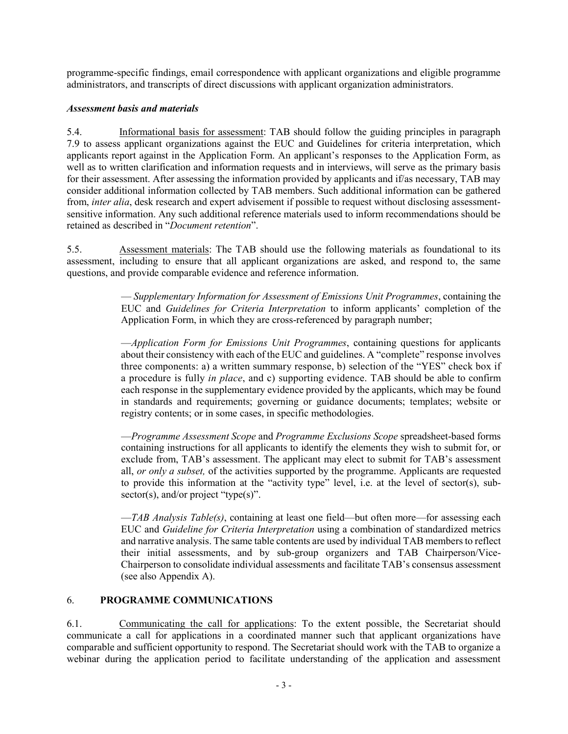programme-specific findings, email correspondence with applicant organizations and eligible programme administrators, and transcripts of direct discussions with applicant organization administrators.

## *Assessment basis and materials*

5.4. Informational basis for assessment: TAB should follow the guiding principles in paragraph [7.9](#page-4-0) to assess applicant organizations against the EUC and Guidelines for criteria interpretation, which applicants report against in the Application Form. An applicant's responses to the Application Form, as well as to written clarification and information requests and in interviews, will serve as the primary basis for their assessment. After assessing the information provided by applicants and if/as necessary, TAB may consider additional information collected by TAB members. Such additional information can be gathered from, *inter alia*, desk research and expert advisement if possible to request without disclosing assessmentsensitive information. Any such additional reference materials used to inform recommendations should be retained as described in "*Document retention*".

5.5. Assessment materials: The TAB should use the following materials as foundational to its assessment, including to ensure that all applicant organizations are asked, and respond to, the same questions, and provide comparable evidence and reference information.

> — *Supplementary Information for Assessment of Emissions Unit Programmes*, containing the EUC and *Guidelines for Criteria Interpretation* to inform applicants' completion of the Application Form, in which they are cross-referenced by paragraph number;

> —*Application Form for Emissions Unit Programmes*, containing questions for applicants about their consistency with each of the EUC and guidelines. A "complete" response involves three components: a) a written summary response, b) selection of the "YES" check box if a procedure is fully *in place*, and c) supporting evidence. TAB should be able to confirm each response in the supplementary evidence provided by the applicants, which may be found in standards and requirements; governing or guidance documents; templates; website or registry contents; or in some cases, in specific methodologies.

> —*Programme Assessment Scope* and *Programme Exclusions Scope* spreadsheet-based forms containing instructions for all applicants to identify the elements they wish to submit for, or exclude from, TAB's assessment. The applicant may elect to submit for TAB's assessment all, *or only a subset,* of the activities supported by the programme. Applicants are requested to provide this information at the "activity type" level, i.e. at the level of sector(s), sub $sector(s), and/or project "type(s)".$

> —*TAB Analysis Table(s)*, containing at least one field—but often more—for assessing each EUC and *Guideline for Criteria Interpretation* using a combination of standardized metrics and narrative analysis. The same table contents are used by individual TAB members to reflect their initial assessments, and by sub-group organizers and TAB Chairperson/Vice-Chairperson to consolidate individual assessments and facilitate TAB's consensus assessment (see also Appendix A).

## 6. **PROGRAMME COMMUNICATIONS**

6.1. Communicating the call for applications: To the extent possible, the Secretariat should communicate a call for applications in a coordinated manner such that applicant organizations have comparable and sufficient opportunity to respond. The Secretariat should work with the TAB to organize a webinar during the application period to facilitate understanding of the application and assessment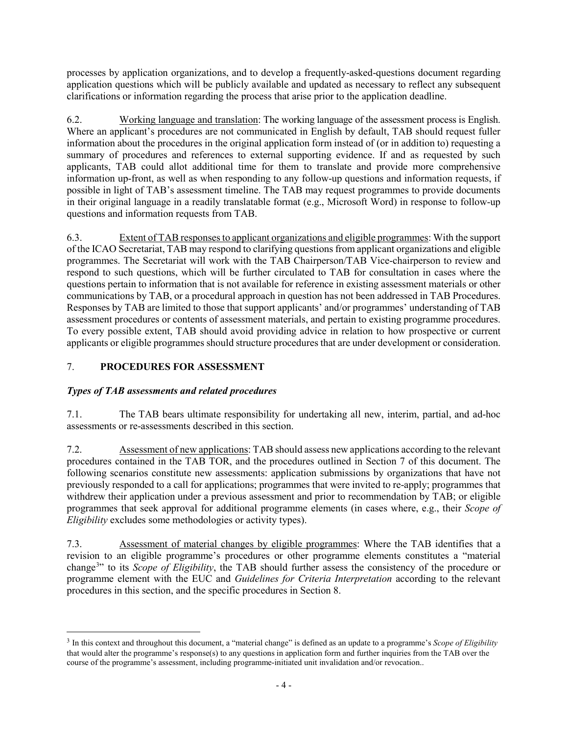processes by application organizations, and to develop a frequently-asked-questions document regarding application questions which will be publicly available and updated as necessary to reflect any subsequent clarifications or information regarding the process that arise prior to the application deadline.

6.2. Working language and translation: The working language of the assessment process is English. Where an applicant's procedures are not communicated in English by default, TAB should request fuller information about the procedures in the original application form instead of (or in addition to) requesting a summary of procedures and references to external supporting evidence. If and as requested by such applicants, TAB could allot additional time for them to translate and provide more comprehensive information up-front, as well as when responding to any follow-up questions and information requests, if possible in light of TAB's assessment timeline. The TAB may request programmes to provide documents in their original language in a readily translatable format (e.g., Microsoft Word) in response to follow-up questions and information requests from TAB.

6.3. Extent of TAB responses to applicant organizations and eligible programmes: With the support of the ICAO Secretariat, TAB may respond to clarifying questions from applicant organizations and eligible programmes. The Secretariat will work with the TAB Chairperson/TAB Vice-chairperson to review and respond to such questions, which will be further circulated to TAB for consultation in cases where the questions pertain to information that is not available for reference in existing assessment materials or other communications by TAB, or a procedural approach in question has not been addressed in TAB Procedures. Responses by TAB are limited to those that support applicants' and/or programmes' understanding of TAB assessment procedures or contents of assessment materials, and pertain to existing programme procedures. To every possible extent, TAB should avoid providing advice in relation to how prospective or current applicants or eligible programmes should structure procedures that are under development or consideration.

# <span id="page-3-0"></span>7. **PROCEDURES FOR ASSESSMENT**

# *Types of TAB assessments and related procedures*

7.1. The TAB bears ultimate responsibility for undertaking all new, interim, partial, and ad-hoc assessments or re-assessments described in this section.

7.2. Assessment of new applications: TAB should assess new applications according to the relevant procedures contained in the TAB TOR, and the procedures outlined in Section [7](#page-3-0) of this document. The following scenarios constitute new assessments: application submissions by organizations that have not previously responded to a call for applications; programmes that were invited to re-apply; programmes that withdrew their application under a previous assessment and prior to recommendation by TAB; or eligible programmes that seek approval for additional programme elements (in cases where, e.g., their *Scope of Eligibility* excludes some methodologies or activity types).

<span id="page-3-2"></span>7.3. Assessment of material changes by eligible programmes: Where the TAB identifies that a revision to an eligible programme's procedures or other programme elements constitutes a "material change[3](#page-3-1) " to its *Scope of Eligibility*, the TAB should further assess the consistency of the procedure or programme element with the EUC and *Guidelines for Criteria Interpretation* according to the relevant procedures in this section, and the specific procedures in Section [8.](#page-11-0)

<span id="page-3-1"></span> <sup>3</sup> In this context and throughout this document, a "material change" is defined as an update to a programme's *Scope of Eligibility* that would alter the programme's response(s) to any questions in application form and further inquiries from the TAB over the course of the programme's assessment, including programme-initiated unit invalidation and/or revocation..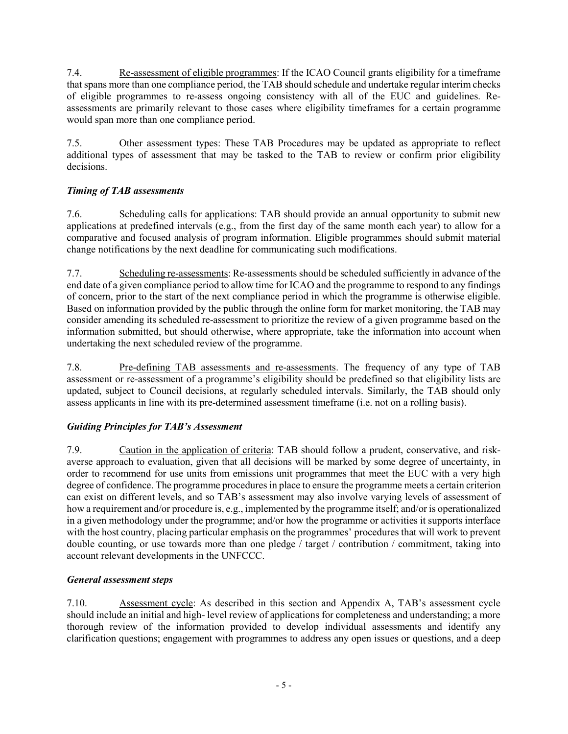<span id="page-4-1"></span>7.4. Re-assessment of eligible programmes: If the ICAO Council grants eligibility for a timeframe that spans more than one compliance period, the TAB should schedule and undertake regular interim checks of eligible programmes to re-assess ongoing consistency with all of the EUC and guidelines. Reassessments are primarily relevant to those cases where eligibility timeframes for a certain programme would span more than one compliance period.

7.5. Other assessment types: These TAB Procedures may be updated as appropriate to reflect additional types of assessment that may be tasked to the TAB to review or confirm prior eligibility decisions.

# *Timing of TAB assessments*

7.6. Scheduling calls for applications: TAB should provide an annual opportunity to submit new applications at predefined intervals (e.g., from the first day of the same month each year) to allow for a comparative and focused analysis of program information. Eligible programmes should submit material change notifications by the next deadline for communicating such modifications.

7.7. Scheduling re-assessments: Re-assessments should be scheduled sufficiently in advance of the end date of a given compliance period to allow time for ICAO and the programme to respond to any findings of concern, prior to the start of the next compliance period in which the programme is otherwise eligible. Based on information provided by the public through the online form for market monitoring, the TAB may consider amending its scheduled re-assessment to prioritize the review of a given programme based on the information submitted, but should otherwise, where appropriate, take the information into account when undertaking the next scheduled review of the programme.

7.8. Pre-defining TAB assessments and re-assessments. The frequency of any type of TAB assessment or re-assessment of a programme's eligibility should be predefined so that eligibility lists are updated, subject to Council decisions, at regularly scheduled intervals. Similarly, the TAB should only assess applicants in line with its pre-determined assessment timeframe (i.e. not on a rolling basis).

# *Guiding Principles for TAB's Assessment*

<span id="page-4-0"></span>7.9. Caution in the application of criteria: TAB should follow a prudent, conservative, and riskaverse approach to evaluation, given that all decisions will be marked by some degree of uncertainty, in order to recommend for use units from emissions unit programmes that meet the EUC with a very high degree of confidence. The programme procedures in place to ensure the programme meets a certain criterion can exist on different levels, and so TAB's assessment may also involve varying levels of assessment of how a requirement and/or procedure is, e.g., implemented by the programme itself; and/or is operationalized in a given methodology under the programme; and/or how the programme or activities it supports interface with the host country, placing particular emphasis on the programmes' procedures that will work to prevent double counting, or use towards more than one pledge / target / contribution / commitment, taking into account relevant developments in the UNFCCC.

# *General assessment steps*

7.10. Assessment cycle: As described in this section and Appendix A, TAB's assessment cycle should include an initial and high- level review of applications for completeness and understanding; a more thorough review of the information provided to develop individual assessments and identify any clarification questions; engagement with programmes to address any open issues or questions, and a deep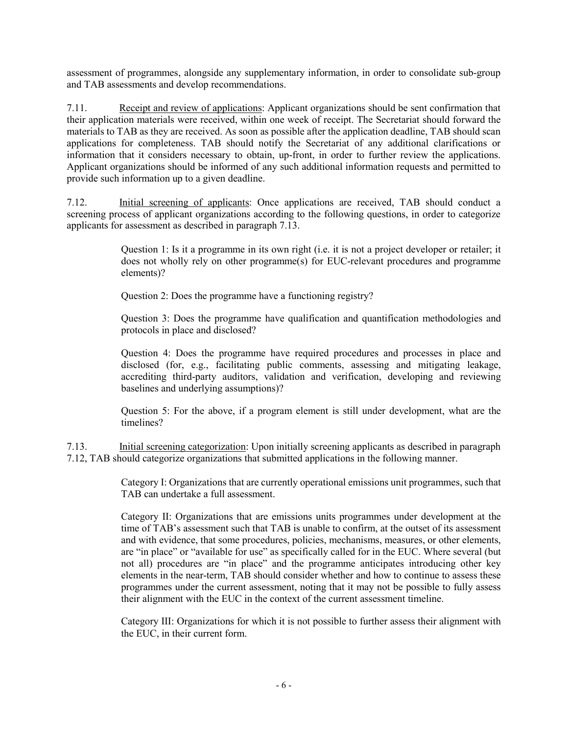assessment of programmes, alongside any supplementary information, in order to consolidate sub-group and TAB assessments and develop recommendations.

7.11. Receipt and review of applications: Applicant organizations should be sent confirmation that their application materials were received, within one week of receipt. The Secretariat should forward the materials to TAB as they are received. As soon as possible after the application deadline, TAB should scan applications for completeness. TAB should notify the Secretariat of any additional clarifications or information that it considers necessary to obtain, up-front, in order to further review the applications. Applicant organizations should be informed of any such additional information requests and permitted to provide such information up to a given deadline.

<span id="page-5-1"></span>7.12. Initial screening of applicants: Once applications are received, TAB should conduct a screening process of applicant organizations according to the following questions, in order to categorize applicants for assessment as described in paragraph [7.13.](#page-5-0)

> Question 1: Is it a programme in its own right (i.e. it is not a project developer or retailer; it does not wholly rely on other programme(s) for EUC-relevant procedures and programme elements)?

Question 2: Does the programme have a functioning registry?

Question 3: Does the programme have qualification and quantification methodologies and protocols in place and disclosed?

Question 4: Does the programme have required procedures and processes in place and disclosed (for, e.g., facilitating public comments, assessing and mitigating leakage, accrediting third-party auditors, validation and verification, developing and reviewing baselines and underlying assumptions)?

Question 5: For the above, if a program element is still under development, what are the timelines?

<span id="page-5-0"></span>7.13. Initial screening categorization: Upon initially screening applicants as described in paragraph [7.12,](#page-5-1) TAB should categorize organizations that submitted applications in the following manner.

> Category I: Organizations that are currently operational emissions unit programmes, such that TAB can undertake a full assessment.

> Category II: Organizations that are emissions units programmes under development at the time of TAB's assessment such that TAB is unable to confirm, at the outset of its assessment and with evidence, that some procedures, policies, mechanisms, measures, or other elements, are "in place" or "available for use" as specifically called for in the EUC. Where several (but not all) procedures are "in place" and the programme anticipates introducing other key elements in the near-term, TAB should consider whether and how to continue to assess these programmes under the current assessment, noting that it may not be possible to fully assess their alignment with the EUC in the context of the current assessment timeline.

> Category III: Organizations for which it is not possible to further assess their alignment with the EUC, in their current form.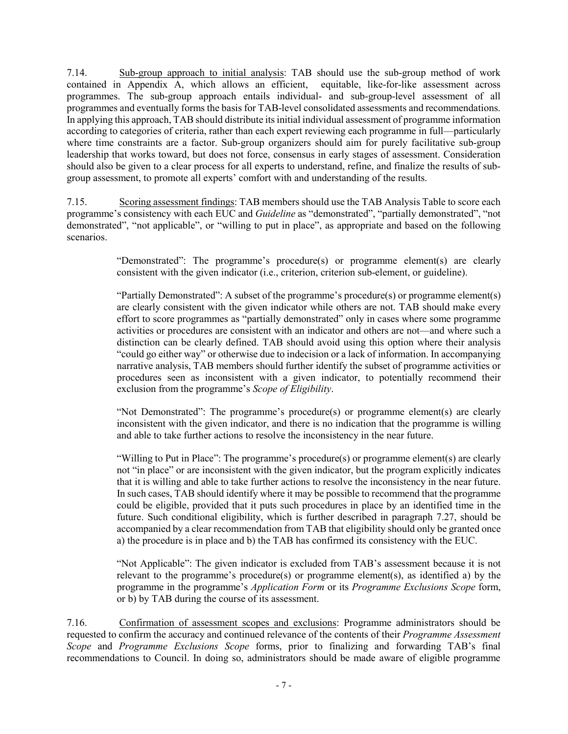7.14. Sub-group approach to initial analysis: TAB should use the sub-group method of work contained in Appendix A, which allows an efficient, equitable, like-for-like assessment across programmes. The sub-group approach entails individual- and sub-group-level assessment of all programmes and eventually forms the basis for TAB-level consolidated assessments and recommendations. In applying this approach, TAB should distribute its initial individual assessment of programme information according to categories of criteria, rather than each expert reviewing each programme in full—particularly where time constraints are a factor. Sub-group organizers should aim for purely facilitative sub-group leadership that works toward, but does not force, consensus in early stages of assessment. Consideration should also be given to a clear process for all experts to understand, refine, and finalize the results of subgroup assessment, to promote all experts' comfort with and understanding of the results.

7.15. Scoring assessment findings: TAB members should use the TAB Analysis Table to score each programme's consistency with each EUC and *Guideline* as "demonstrated", "partially demonstrated", "not demonstrated", "not applicable", or "willing to put in place", as appropriate and based on the following scenarios.

> "Demonstrated": The programme's procedure(s) or programme element(s) are clearly consistent with the given indicator (i.e., criterion, criterion sub-element, or guideline).

> "Partially Demonstrated": A subset of the programme's procedure(s) or programme element(s) are clearly consistent with the given indicator while others are not. TAB should make every effort to score programmes as "partially demonstrated" only in cases where some programme activities or procedures are consistent with an indicator and others are not—and where such a distinction can be clearly defined. TAB should avoid using this option where their analysis "could go either way" or otherwise due to indecision or a lack of information. In accompanying narrative analysis, TAB members should further identify the subset of programme activities or procedures seen as inconsistent with a given indicator, to potentially recommend their exclusion from the programme's *Scope of Eligibility*.

> "Not Demonstrated": The programme's procedure(s) or programme element(s) are clearly inconsistent with the given indicator, and there is no indication that the programme is willing and able to take further actions to resolve the inconsistency in the near future.

> "Willing to Put in Place": The programme's procedure(s) or programme element(s) are clearly not "in place" or are inconsistent with the given indicator, but the program explicitly indicates that it is willing and able to take further actions to resolve the inconsistency in the near future. In such cases, TAB should identify where it may be possible to recommend that the programme could be eligible, provided that it puts such procedures in place by an identified time in the future. Such conditional eligibility, which is further described in paragraph [7.27,](#page-10-0) should be accompanied by a clear recommendation from TAB that eligibility should only be granted once a) the procedure is in place and b) the TAB has confirmed its consistency with the EUC.

> "Not Applicable": The given indicator is excluded from TAB's assessment because it is not relevant to the programme's procedure(s) or programme element(s), as identified a) by the programme in the programme's *Application Form* or its *Programme Exclusions Scope* form, or b) by TAB during the course of its assessment.

7.16. Confirmation of assessment scopes and exclusions: Programme administrators should be requested to confirm the accuracy and continued relevance of the contents of their *Programme Assessment Scope* and *Programme Exclusions Scope* forms, prior to finalizing and forwarding TAB's final recommendations to Council. In doing so, administrators should be made aware of eligible programme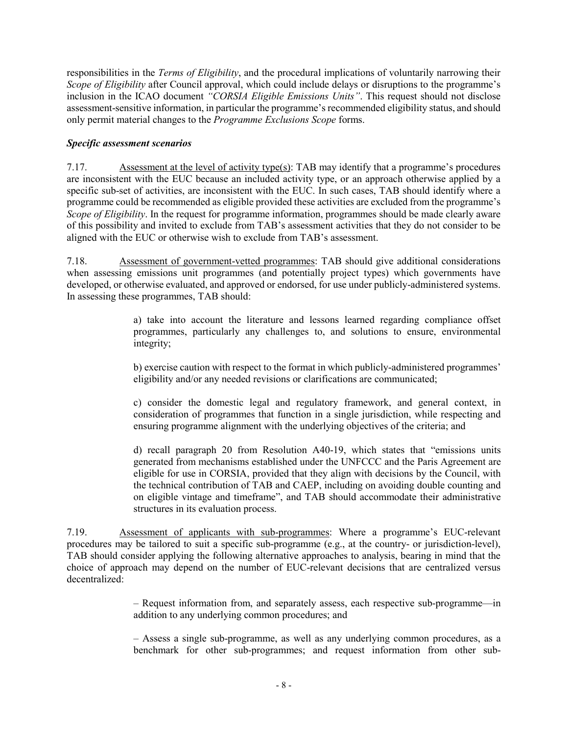responsibilities in the *Terms of Eligibility*, and the procedural implications of voluntarily narrowing their *Scope of Eligibility* after Council approval, which could include delays or disruptions to the programme's inclusion in the ICAO document *"CORSIA Eligible Emissions Units"*. This request should not disclose assessment-sensitive information, in particular the programme's recommended eligibility status, and should only permit material changes to the *Programme Exclusions Scope* forms.

## *Specific assessment scenarios*

7.17. Assessment at the level of activity type(s): TAB may identify that a programme's procedures are inconsistent with the EUC because an included activity type, or an approach otherwise applied by a specific sub-set of activities, are inconsistent with the EUC. In such cases, TAB should identify where a programme could be recommended as eligible provided these activities are excluded from the programme's *Scope of Eligibility*. In the request for programme information, programmes should be made clearly aware of this possibility and invited to exclude from TAB's assessment activities that they do not consider to be aligned with the EUC or otherwise wish to exclude from TAB's assessment.

7.18. Assessment of government-vetted programmes: TAB should give additional considerations when assessing emissions unit programmes (and potentially project types) which governments have developed, or otherwise evaluated, and approved or endorsed, for use under publicly-administered systems. In assessing these programmes, TAB should:

> a) take into account the literature and lessons learned regarding compliance offset programmes, particularly any challenges to, and solutions to ensure, environmental integrity;

> b) exercise caution with respect to the format in which publicly-administered programmes' eligibility and/or any needed revisions or clarifications are communicated;

> c) consider the domestic legal and regulatory framework, and general context, in consideration of programmes that function in a single jurisdiction, while respecting and ensuring programme alignment with the underlying objectives of the criteria; and

> d) recall paragraph 20 from Resolution A40-19, which states that "emissions units generated from mechanisms established under the UNFCCC and the Paris Agreement are eligible for use in CORSIA, provided that they align with decisions by the Council, with the technical contribution of TAB and CAEP, including on avoiding double counting and on eligible vintage and timeframe", and TAB should accommodate their administrative structures in its evaluation process.

7.19. Assessment of applicants with sub-programmes: Where a programme's EUC-relevant procedures may be tailored to suit a specific sub-programme (e.g., at the country- or jurisdiction-level), TAB should consider applying the following alternative approaches to analysis, bearing in mind that the choice of approach may depend on the number of EUC-relevant decisions that are centralized versus decentralized:

> ‒ Request information from, and separately assess, each respective sub-programme—in addition to any underlying common procedures; and

> ‒ Assess a single sub-programme, as well as any underlying common procedures, as a benchmark for other sub-programmes; and request information from other sub-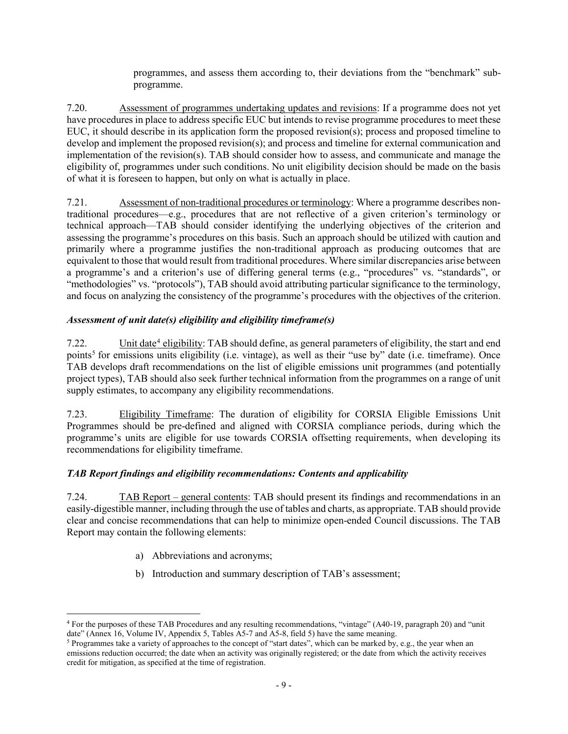programmes, and assess them according to, their deviations from the "benchmark" subprogramme.

7.20. Assessment of programmes undertaking updates and revisions: If a programme does not yet have procedures in place to address specific EUC but intends to revise programme procedures to meet these EUC, it should describe in its application form the proposed revision(s); process and proposed timeline to develop and implement the proposed revision(s); and process and timeline for external communication and implementation of the revision(s). TAB should consider how to assess, and communicate and manage the eligibility of, programmes under such conditions. No unit eligibility decision should be made on the basis of what it is foreseen to happen, but only on what is actually in place.

7.21. Assessment of non-traditional procedures or terminology: Where a programme describes nontraditional procedures—e.g., procedures that are not reflective of a given criterion's terminology or technical approach—TAB should consider identifying the underlying objectives of the criterion and assessing the programme's procedures on this basis. Such an approach should be utilized with caution and primarily where a programme justifies the non-traditional approach as producing outcomes that are equivalent to those that would result from traditional procedures. Where similar discrepancies arise between a programme's and a criterion's use of differing general terms (e.g., "procedures" vs. "standards", or "methodologies" vs. "protocols"), TAB should avoid attributing particular significance to the terminology, and focus on analyzing the consistency of the programme's procedures with the objectives of the criterion.

## *Assessment of unit date(s) eligibility and eligibility timeframe(s)*

<span id="page-8-2"></span>7.22. Unit date<sup>[4](#page-8-0)</sup> eligibility: TAB should define, as general parameters of eligibility, the start and end points<sup>[5](#page-8-1)</sup> for emissions units eligibility (i.e. vintage), as well as their "use by" date (i.e. timeframe). Once TAB develops draft recommendations on the list of eligible emissions unit programmes (and potentially project types), TAB should also seek further technical information from the programmes on a range of unit supply estimates, to accompany any eligibility recommendations.

<span id="page-8-3"></span>7.23. Eligibility Timeframe: The duration of eligibility for CORSIA Eligible Emissions Unit Programmes should be pre-defined and aligned with CORSIA compliance periods, during which the programme's units are eligible for use towards CORSIA offsetting requirements, when developing its recommendations for eligibility timeframe.

## *TAB Report findings and eligibility recommendations: Contents and applicability*

7.24. TAB Report – general contents: TAB should present its findings and recommendations in an easily-digestible manner, including through the use of tables and charts, as appropriate. TAB should provide clear and concise recommendations that can help to minimize open-ended Council discussions. The TAB Report may contain the following elements:

- a) Abbreviations and acronyms;
- b) Introduction and summary description of TAB's assessment;

<span id="page-8-0"></span> <sup>4</sup> For the purposes of these TAB Procedures and any resulting recommendations, "vintage" (A40-19, paragraph 20) and "unit date" (Annex 16, Volume IV, Appendix 5, Tables A5-7 and A5-8, field 5) have the same meaning.

<span id="page-8-1"></span><sup>&</sup>lt;sup>5</sup> Programmes take a variety of approaches to the concept of "start dates", which can be marked by, e.g., the year when an emissions reduction occurred; the date when an activity was originally registered; or the date from which the activity receives credit for mitigation, as specified at the time of registration.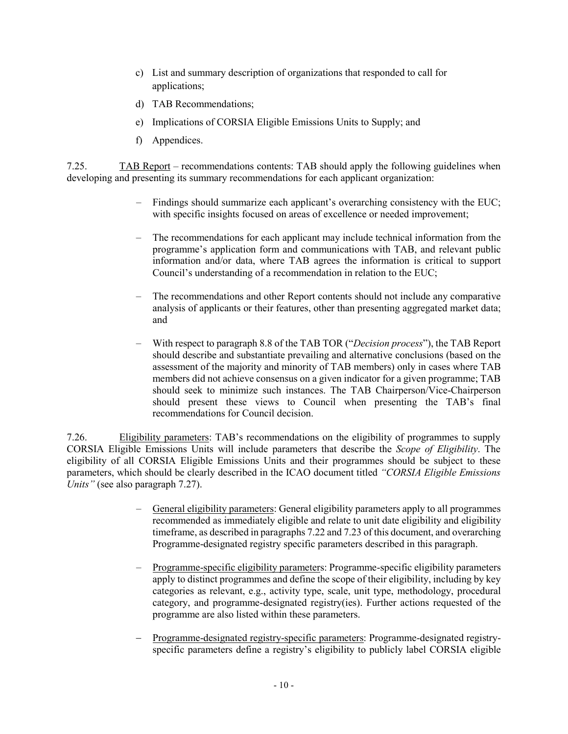- c) List and summary description of organizations that responded to call for applications;
- d) TAB Recommendations;
- e) Implications of CORSIA Eligible Emissions Units to Supply; and
- f) Appendices.

7.25. TAB Report – recommendations contents: TAB should apply the following guidelines when developing and presenting its summary recommendations for each applicant organization:

- − Findings should summarize each applicant's overarching consistency with the EUC; with specific insights focused on areas of excellence or needed improvement;
- − The recommendations for each applicant may include technical information from the programme's application form and communications with TAB, and relevant public information and/or data, where TAB agrees the information is critical to support Council's understanding of a recommendation in relation to the EUC;
- The recommendations and other Report contents should not include any comparative analysis of applicants or their features, other than presenting aggregated market data; and
- − With respect to paragraph 8.8 of the TAB TOR ("*Decision process*"), the TAB Report should describe and substantiate prevailing and alternative conclusions (based on the assessment of the majority and minority of TAB members) only in cases where TAB members did not achieve consensus on a given indicator for a given programme; TAB should seek to minimize such instances. The TAB Chairperson/Vice-Chairperson should present these views to Council when presenting the TAB's final recommendations for Council decision.

7.26. Eligibility parameters: TAB's recommendations on the eligibility of programmes to supply CORSIA Eligible Emissions Units will include parameters that describe the *Scope of Eligibility*. The eligibility of all CORSIA Eligible Emissions Units and their programmes should be subject to these parameters, which should be clearly described in the ICAO document titled *"CORSIA Eligible Emissions Units"* (see also paragraph [7.27\)](#page-10-0).

- General eligibility parameters: General eligibility parameters apply to all programmes recommended as immediately eligible and relate to unit date eligibility and eligibility timeframe, as described in paragraph[s 7.22](#page-8-2) an[d 7.23](#page-8-3) of this document, and overarching Programme-designated registry specific parameters described in this paragraph.
- − Programme-specific eligibility parameters: Programme-specific eligibility parameters apply to distinct programmes and define the scope of their eligibility, including by key categories as relevant, e.g., activity type, scale, unit type, methodology, procedural category, and programme-designated registry(ies). Further actions requested of the programme are also listed within these parameters.
- − Programme-designated registry-specific parameters: Programme-designated registryspecific parameters define a registry's eligibility to publicly label CORSIA eligible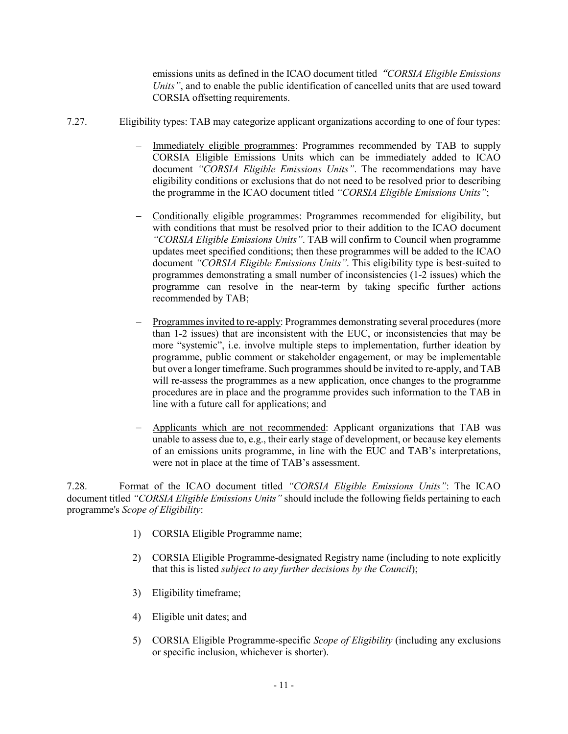emissions units as defined in the ICAO document titled"*CORSIA Eligible Emissions Units"*, and to enable the public identification of cancelled units that are used toward CORSIA offsetting requirements.

- <span id="page-10-0"></span>7.27. Eligibility types: TAB may categorize applicant organizations according to one of four types:
	- Immediately eligible programmes: Programmes recommended by TAB to supply CORSIA Eligible Emissions Units which can be immediately added to ICAO document *"CORSIA Eligible Emissions Units"*. The recommendations may have eligibility conditions or exclusions that do not need to be resolved prior to describing the programme in the ICAO document titled *"CORSIA Eligible Emissions Units"*;
	- − Conditionally eligible programmes: Programmes recommended for eligibility, but with conditions that must be resolved prior to their addition to the ICAO document *"CORSIA Eligible Emissions Units"*. TAB will confirm to Council when programme updates meet specified conditions; then these programmes will be added to the ICAO document *"CORSIA Eligible Emissions Units"*. This eligibility type is best-suited to programmes demonstrating a small number of inconsistencies (1-2 issues) which the programme can resolve in the near-term by taking specific further actions recommended by TAB;
	- − Programmes invited to re-apply: Programmes demonstrating several procedures (more than 1-2 issues) that are inconsistent with the EUC, or inconsistencies that may be more "systemic", i.e. involve multiple steps to implementation, further ideation by programme, public comment or stakeholder engagement, or may be implementable but over a longer timeframe. Such programmes should be invited to re-apply, and TAB will re-assess the programmes as a new application, once changes to the programme procedures are in place and the programme provides such information to the TAB in line with a future call for applications; and
	- − Applicants which are not recommended: Applicant organizations that TAB was unable to assess due to, e.g., their early stage of development, or because key elements of an emissions units programme, in line with the EUC and TAB's interpretations, were not in place at the time of TAB's assessment.

7.28. Format of the ICAO document titled *"CORSIA Eligible Emissions Units"*: The ICAO document titled *"CORSIA Eligible Emissions Units"* should include the following fields pertaining to each programme's *Scope of Eligibility*:

- 1) CORSIA Eligible Programme name;
- 2) CORSIA Eligible Programme-designated Registry name (including to note explicitly that this is listed *subject to any further decisions by the Council*);
- 3) Eligibility timeframe;
- 4) Eligible unit dates; and
- 5) CORSIA Eligible Programme-specific *Scope of Eligibility* (including any exclusions or specific inclusion, whichever is shorter).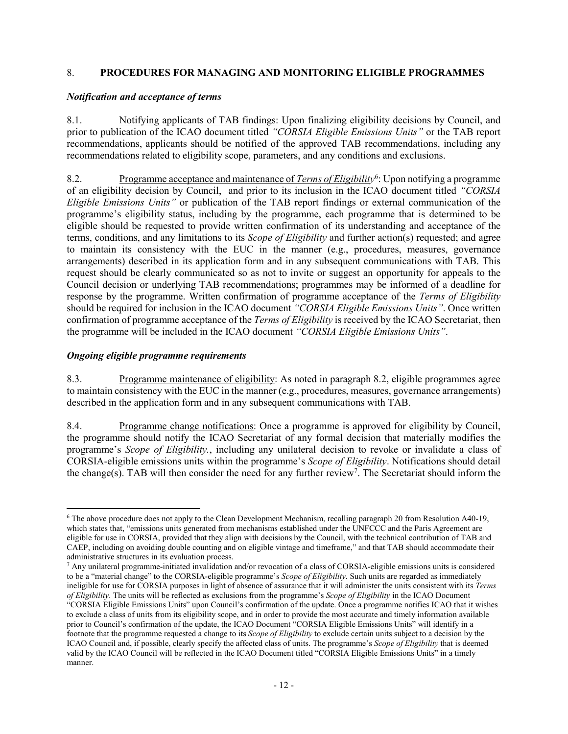### <span id="page-11-0"></span>8. **PROCEDURES FOR MANAGING AND MONITORING ELIGIBLE PROGRAMMES**

#### *Notification and acceptance of terms*

8.1. Notifying applicants of TAB findings: Upon finalizing eligibility decisions by Council, and prior to publication of the ICAO document titled *"CORSIA Eligible Emissions Units"* or the TAB report recommendations, applicants should be notified of the approved TAB recommendations, including any recommendations related to eligibility scope, parameters, and any conditions and exclusions.

<span id="page-11-1"></span>8.2. Programme acceptance and maintenance of *Terms of Eligibility*<sup>[6](#page-11-2)</sup>: Upon notifying a programme of an eligibility decision by Council, and prior to its inclusion in the ICAO document titled *"CORSIA Eligible Emissions Units"* or publication of the TAB report findings or external communication of the programme's eligibility status, including by the programme, each programme that is determined to be eligible should be requested to provide written confirmation of its understanding and acceptance of the terms, conditions, and any limitations to its *Scope of Eligibility* and further action(s) requested; and agree to maintain its consistency with the EUC in the manner (e.g., procedures, measures, governance arrangements) described in its application form and in any subsequent communications with TAB. This request should be clearly communicated so as not to invite or suggest an opportunity for appeals to the Council decision or underlying TAB recommendations; programmes may be informed of a deadline for response by the programme. Written confirmation of programme acceptance of the *Terms of Eligibility* should be required for inclusion in the ICAO document *"CORSIA Eligible Emissions Units"*. Once written confirmation of programme acceptance of the *Terms of Eligibility* is received by the ICAO Secretariat, then the programme will be included in the ICAO document *"CORSIA Eligible Emissions Units"*.

### *Ongoing eligible programme requirements*

8.3. Programme maintenance of eligibility: As noted in paragraph [8.2,](#page-11-1) eligible programmes agree to maintain consistency with the EUC in the manner (e.g., procedures, measures, governance arrangements) described in the application form and in any subsequent communications with TAB.

8.4. Programme change notifications: Once a programme is approved for eligibility by Council, the programme should notify the ICAO Secretariat of any formal decision that materially modifies the programme's *Scope of Eligibility.*, including any unilateral decision to revoke or invalidate a class of CORSIA-eligible emissions units within the programme's *Scope of Eligibility*. Notifications should detail the change(s). TAB will then consider the need for any further review<sup>[7](#page-11-3)</sup>. The Secretariat should inform the

<span id="page-11-2"></span> <sup>6</sup> The above procedure does not apply to the Clean Development Mechanism, recalling paragraph 20 from Resolution A40-19, which states that, "emissions units generated from mechanisms established under the UNFCCC and the Paris Agreement are eligible for use in CORSIA, provided that they align with decisions by the Council, with the technical contribution of TAB and CAEP, including on avoiding double counting and on eligible vintage and timeframe," and that TAB should accommodate their administrative structures in its evaluation process.

<span id="page-11-3"></span><sup>7</sup> Any unilateral programme-initiated invalidation and/or revocation of a class of CORSIA-eligible emissions units is considered to be a "material change" to the CORSIA-eligible programme's *Scope of Eligibility*. Such units are regarded as immediately ineligible for use for CORSIA purposes in light of absence of assurance that it will administer the units consistent with its *Terms of Eligibility*. The units will be reflected as exclusions from the programme's *Scope of Eligibility* in the ICAO Document

<sup>&</sup>quot;CORSIA Eligible Emissions Units" upon Council's confirmation of the update. Once a programme notifies ICAO that it wishes to exclude a class of units from its eligibility scope, and in order to provide the most accurate and timely information available prior to Council's confirmation of the update, the ICAO Document "CORSIA Eligible Emissions Units" will identify in a footnote that the programme requested a change to its *Scope of Eligibility* to exclude certain units subject to a decision by the ICAO Council and, if possible, clearly specify the affected class of units. The programme's *Scope of Eligibility* that is deemed valid by the ICAO Council will be reflected in the ICAO Document titled "CORSIA Eligible Emissions Units" in a timely manner.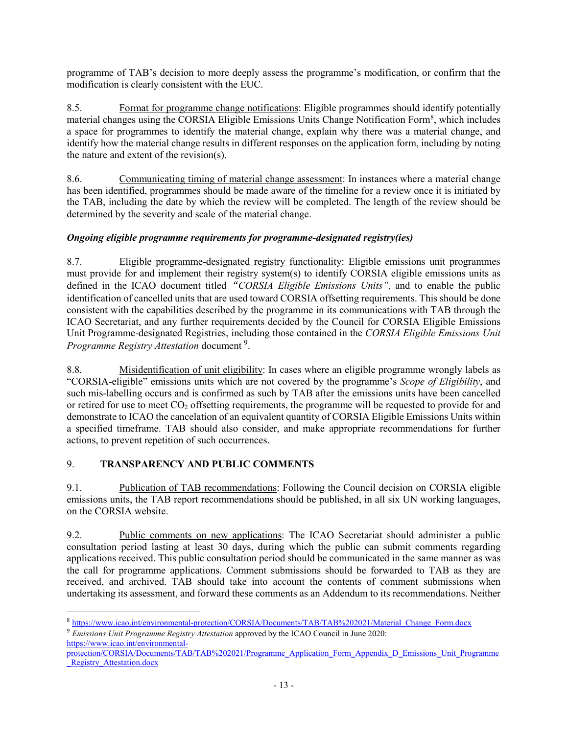programme of TAB's decision to more deeply assess the programme's modification, or confirm that the modification is clearly consistent with the EUC.

8.5. Format for programme change notifications: Eligible programmes should identify potentially material changes using the CORSIA Eligible Emissions Units Change Notification Form<sup>8</sup>, which includes a space for programmes to identify the material change, explain why there was a material change, and identify how the material change results in different responses on the application form, including by noting the nature and extent of the revision(s).

8.6. Communicating timing of material change assessment: In instances where a material change has been identified, programmes should be made aware of the timeline for a review once it is initiated by the TAB, including the date by which the review will be completed. The length of the review should be determined by the severity and scale of the material change.

## *Ongoing eligible programme requirements for programme-designated registry(ies)*

8.7. Eligible programme-designated registry functionality: Eligible emissions unit programmes must provide for and implement their registry system(s) to identify CORSIA eligible emissions units as defined in the ICAO document titled"*CORSIA Eligible Emissions Units"*, and to enable the public identification of cancelled units that are used toward CORSIA offsetting requirements. This should be done consistent with the capabilities described by the programme in its communications with TAB through the ICAO Secretariat, and any further requirements decided by the Council for CORSIA Eligible Emissions Unit Programme-designated Registries, including those contained in the *CORSIA Eligible Emissions Unit*  Programme Registry Attestation document<sup>[9](#page-12-1)</sup>.

8.8. Misidentification of unit eligibility: In cases where an eligible programme wrongly labels as "CORSIA-eligible" emissions units which are not covered by the programme's *Scope of Eligibility*, and such mis-labelling occurs and is confirmed as such by TAB after the emissions units have been cancelled or retired for use to meet  $CO<sub>2</sub>$  offsetting requirements, the programme will be requested to provide for and demonstrate to ICAO the cancelation of an equivalent quantity of CORSIA Eligible Emissions Units within a specified timeframe. TAB should also consider, and make appropriate recommendations for further actions, to prevent repetition of such occurrences.

## 9. **TRANSPARENCY AND PUBLIC COMMENTS**

9.1. Publication of TAB recommendations: Following the Council decision on CORSIA eligible emissions units, the TAB report recommendations should be published, in all six UN working languages, on the CORSIA website.

9.2. Public comments on new applications: The ICAO Secretariat should administer a public consultation period lasting at least 30 days, during which the public can submit comments regarding applications received. This public consultation period should be communicated in the same manner as was the call for programme applications. Comment submissions should be forwarded to TAB as they are received, and archived. TAB should take into account the contents of comment submissions when undertaking its assessment, and forward these comments as an Addendum to its recommendations. Neither

<span id="page-12-0"></span><sup>8</sup> [https://www.icao.int/environmental-protection/CORSIA/Documents/TAB/TAB%202021/Material\\_Change\\_Form.docx](https://www.icao.int/environmental-protection/CORSIA/Documents/TAB/TAB%202021/Material_Change_Form.docx)

<span id="page-12-1"></span><sup>9</sup> *Emissions Unit Programme Registry Attestation* approved by the ICAO Council in June 2020: [https://www.icao.int/environmental-](https://www.icao.int/environmental-protection/CORSIA/Documents/TAB/TAB%202021/Programme_Application_Form_Appendix_D_Emissions_Unit_Programme_Registry_Attestation.docx)

[protection/CORSIA/Documents/TAB/TAB%202021/Programme\\_Application\\_Form\\_Appendix\\_D\\_Emissions\\_Unit\\_Programme](https://www.icao.int/environmental-protection/CORSIA/Documents/TAB/TAB%202021/Programme_Application_Form_Appendix_D_Emissions_Unit_Programme_Registry_Attestation.docx) Registry Attestation.docx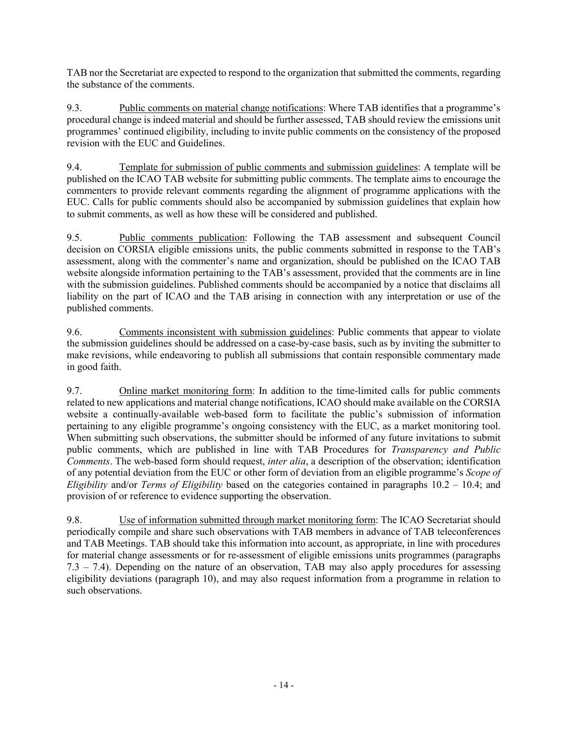TAB nor the Secretariat are expected to respond to the organization that submitted the comments, regarding the substance of the comments.

9.3. Public comments on material change notifications: Where TAB identifies that a programme's procedural change is indeed material and should be further assessed, TAB should review the emissions unit programmes' continued eligibility, including to invite public comments on the consistency of the proposed revision with the EUC and Guidelines.

9.4. Template for submission of public comments and submission guidelines: A template will be published on the ICAO TAB website for submitting public comments. The template aims to encourage the commenters to provide relevant comments regarding the alignment of programme applications with the EUC. Calls for public comments should also be accompanied by submission guidelines that explain how to submit comments, as well as how these will be considered and published.

9.5. Public comments publication: Following the TAB assessment and subsequent Council decision on CORSIA eligible emissions units, the public comments submitted in response to the TAB's assessment, along with the commenter's name and organization, should be published on the ICAO TAB website alongside information pertaining to the TAB's assessment, provided that the comments are in line with the submission guidelines. Published comments should be accompanied by a notice that disclaims all liability on the part of ICAO and the TAB arising in connection with any interpretation or use of the published comments.

9.6. Comments inconsistent with submission guidelines: Public comments that appear to violate the submission guidelines should be addressed on a case-by-case basis, such as by inviting the submitter to make revisions, while endeavoring to publish all submissions that contain responsible commentary made in good faith.

9.7. Online market monitoring form: In addition to the time-limited calls for public comments related to new applications and material change notifications, ICAO should make available on the CORSIA website a continually-available web-based form to facilitate the public's submission of information pertaining to any eligible programme's ongoing consistency with the EUC, as a market monitoring tool. When submitting such observations, the submitter should be informed of any future invitations to submit public comments, which are published in line with TAB Procedures for *Transparency and Public Comments*. The web-based form should request, *inter alia*, a description of the observation; identification of any potential deviation from the EUC or other form of deviation from an eligible programme's *Scope of Eligibility* and/or *Terms of Eligibility* based on the categories contained in paragraphs [10.2](#page-14-0) – [10.4;](#page-14-1) and provision of or reference to evidence supporting the observation.

9.8. Use of information submitted through market monitoring form: The ICAO Secretariat should periodically compile and share such observations with TAB members in advance of TAB teleconferences and TAB Meetings. TAB should take this information into account, as appropriate, in line with procedures for material change assessments or for re-assessment of eligible emissions units programmes (paragraphs [7.3](#page-3-2) – [7.4\)](#page-4-1). Depending on the nature of an observation, TAB may also apply procedures for assessing eligibility deviations (paragraph [10\)](#page-14-2), and may also request information from a programme in relation to such observations.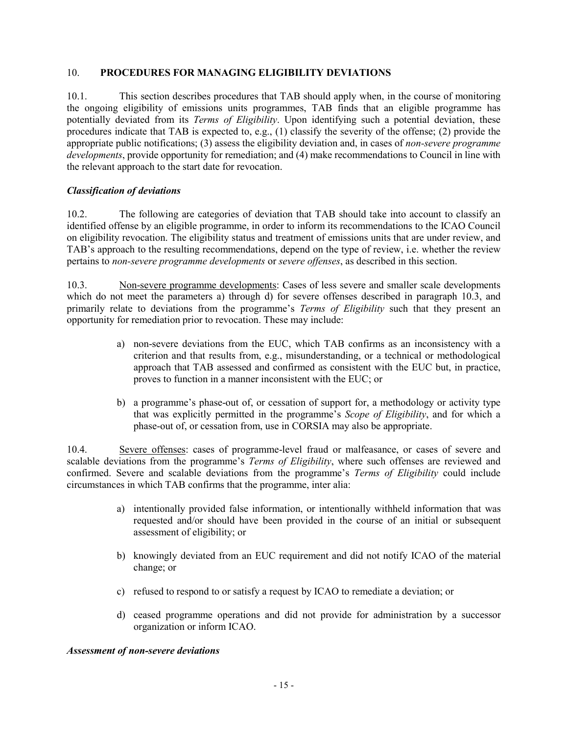### <span id="page-14-2"></span>10. **PROCEDURES FOR MANAGING ELIGIBILITY DEVIATIONS**

10.1. This section describes procedures that TAB should apply when, in the course of monitoring the ongoing eligibility of emissions units programmes, TAB finds that an eligible programme has potentially deviated from its *Terms of Eligibility*. Upon identifying such a potential deviation, these procedures indicate that TAB is expected to, e.g., (1) classify the severity of the offense; (2) provide the appropriate public notifications; (3) assess the eligibility deviation and, in cases of *non-severe programme developments*, provide opportunity for remediation; and (4) make recommendations to Council in line with the relevant approach to the start date for revocation.

### *Classification of deviations*

<span id="page-14-0"></span>10.2. The following are categories of deviation that TAB should take into account to classify an identified offense by an eligible programme, in order to inform its recommendations to the ICAO Council on eligibility revocation. The eligibility status and treatment of emissions units that are under review, and TAB's approach to the resulting recommendations, depend on the type of review, i.e. whether the review pertains to *non-severe programme developments* or *severe offenses*, as described in this section.

<span id="page-14-3"></span>10.3. Non-severe programme developments: Cases of less severe and smaller scale developments which do not meet the parameters a) through d) for severe offenses described in paragraph [10.3,](#page-14-3) and primarily relate to deviations from the programme's *Terms of Eligibility* such that they present an opportunity for remediation prior to revocation. These may include:

- a) non-severe deviations from the EUC, which TAB confirms as an inconsistency with a criterion and that results from, e.g., misunderstanding, or a technical or methodological approach that TAB assessed and confirmed as consistent with the EUC but, in practice, proves to function in a manner inconsistent with the EUC; or
- b) a programme's phase-out of, or cessation of support for, a methodology or activity type that was explicitly permitted in the programme's *Scope of Eligibility*, and for which a phase-out of, or cessation from, use in CORSIA may also be appropriate.

<span id="page-14-1"></span>10.4. Severe offenses: cases of programme-level fraud or malfeasance, or cases of severe and scalable deviations from the programme's *Terms of Eligibility*, where such offenses are reviewed and confirmed. Severe and scalable deviations from the programme's *Terms of Eligibility* could include circumstances in which TAB confirms that the programme, inter alia:

- a) intentionally provided false information, or intentionally withheld information that was requested and/or should have been provided in the course of an initial or subsequent assessment of eligibility; or
- b) knowingly deviated from an EUC requirement and did not notify ICAO of the material change; or
- c) refused to respond to or satisfy a request by ICAO to remediate a deviation; or
- d) ceased programme operations and did not provide for administration by a successor organization or inform ICAO.

#### *Assessment of non-severe deviations*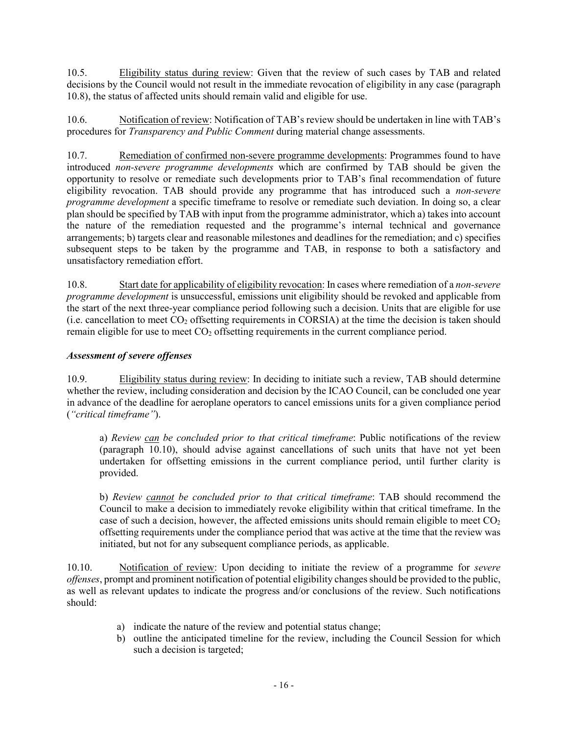10.5. Eligibility status during review: Given that the review of such cases by TAB and related decisions by the Council would not result in the immediate revocation of eligibility in any case (paragraph [10.8\)](#page-15-0), the status of affected units should remain valid and eligible for use.

10.6. Notification of review: Notification of TAB's review should be undertaken in line with TAB's procedures for *Transparency and Public Comment* during material change assessments.

10.7. Remediation of confirmed non-severe programme developments: Programmes found to have introduced *non-severe programme developments* which are confirmed by TAB should be given the opportunity to resolve or remediate such developments prior to TAB's final recommendation of future eligibility revocation. TAB should provide any programme that has introduced such a *non-severe programme development* a specific timeframe to resolve or remediate such deviation. In doing so, a clear plan should be specified by TAB with input from the programme administrator, which a) takes into account the nature of the remediation requested and the programme's internal technical and governance arrangements; b) targets clear and reasonable milestones and deadlines for the remediation; and c) specifies subsequent steps to be taken by the programme and TAB, in response to both a satisfactory and unsatisfactory remediation effort.

<span id="page-15-0"></span>10.8. Start date for applicability of eligibility revocation: In cases where remediation of a *non-severe programme development* is unsuccessful, emissions unit eligibility should be revoked and applicable from the start of the next three-year compliance period following such a decision. Units that are eligible for use (i.e. cancellation to meet  $CO<sub>2</sub>$  offsetting requirements in CORSIA) at the time the decision is taken should remain eligible for use to meet CO<sub>2</sub> offsetting requirements in the current compliance period.

## *Assessment of severe offenses*

<span id="page-15-2"></span>10.9. Eligibility status during review: In deciding to initiate such a review, TAB should determine whether the review, including consideration and decision by the ICAO Council, can be concluded one year in advance of the deadline for aeroplane operators to cancel emissions units for a given compliance period (*"critical timeframe"*).

a) *Review can be concluded prior to that critical timeframe*: Public notifications of the review (paragraph [10.10\)](#page-15-1), should advise against cancellations of such units that have not yet been undertaken for offsetting emissions in the current compliance period, until further clarity is provided.

b) *Review cannot be concluded prior to that critical timeframe*: TAB should recommend the Council to make a decision to immediately revoke eligibility within that critical timeframe. In the case of such a decision, however, the affected emissions units should remain eligible to meet  $CO<sub>2</sub>$ offsetting requirements under the compliance period that was active at the time that the review was initiated, but not for any subsequent compliance periods, as applicable.

<span id="page-15-1"></span>10.10. Notification of review: Upon deciding to initiate the review of a programme for *severe offenses*, prompt and prominent notification of potential eligibility changes should be provided to the public, as well as relevant updates to indicate the progress and/or conclusions of the review. Such notifications should:

- a) indicate the nature of the review and potential status change;
- b) outline the anticipated timeline for the review, including the Council Session for which such a decision is targeted;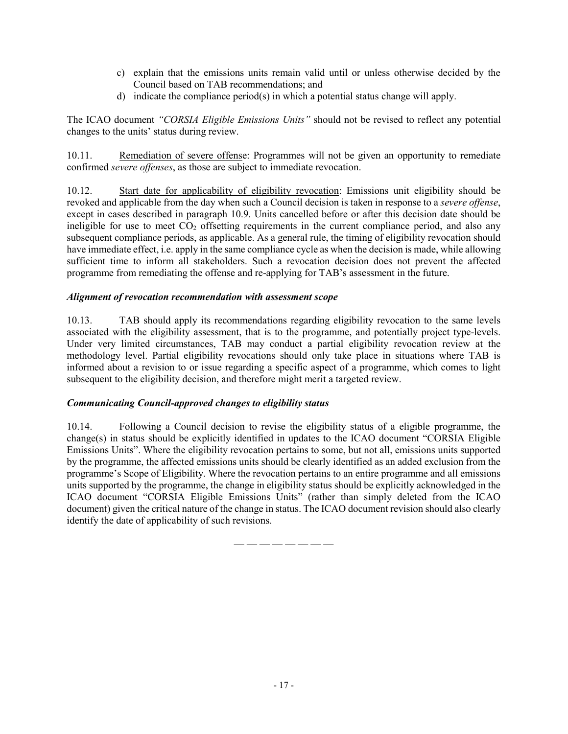- c) explain that the emissions units remain valid until or unless otherwise decided by the Council based on TAB recommendations; and
- d) indicate the compliance period(s) in which a potential status change will apply.

The ICAO document *"CORSIA Eligible Emissions Units"* should not be revised to reflect any potential changes to the units' status during review.

10.11. Remediation of severe offense: Programmes will not be given an opportunity to remediate confirmed *severe offenses*, as those are subject to immediate revocation.

10.12. Start date for applicability of eligibility revocation: Emissions unit eligibility should be revoked and applicable from the day when such a Council decision is taken in response to a *severe offense*, except in cases described in paragraph [10.9.](#page-15-2) Units cancelled before or after this decision date should be ineligible for use to meet  $CO<sub>2</sub>$  offsetting requirements in the current compliance period, and also any subsequent compliance periods, as applicable. As a general rule, the timing of eligibility revocation should have immediate effect, i.e. apply in the same compliance cycle as when the decision is made, while allowing sufficient time to inform all stakeholders. Such a revocation decision does not prevent the affected programme from remediating the offense and re-applying for TAB's assessment in the future.

### *Alignment of revocation recommendation with assessment scope*

10.13. TAB should apply its recommendations regarding eligibility revocation to the same levels associated with the eligibility assessment, that is to the programme, and potentially project type-levels. Under very limited circumstances, TAB may conduct a partial eligibility revocation review at the methodology level. Partial eligibility revocations should only take place in situations where TAB is informed about a revision to or issue regarding a specific aspect of a programme, which comes to light subsequent to the eligibility decision, and therefore might merit a targeted review.

#### *Communicating Council-approved changes to eligibility status*

10.14. Following a Council decision to revise the eligibility status of a eligible programme, the change(s) in status should be explicitly identified in updates to the ICAO document "CORSIA Eligible Emissions Units". Where the eligibility revocation pertains to some, but not all, emissions units supported by the programme, the affected emissions units should be clearly identified as an added exclusion from the programme's Scope of Eligibility. Where the revocation pertains to an entire programme and all emissions units supported by the programme, the change in eligibility status should be explicitly acknowledged in the ICAO document "CORSIA Eligible Emissions Units" (rather than simply deleted from the ICAO document) given the critical nature of the change in status. The ICAO document revision should also clearly identify the date of applicability of such revisions.

— — — — — — — —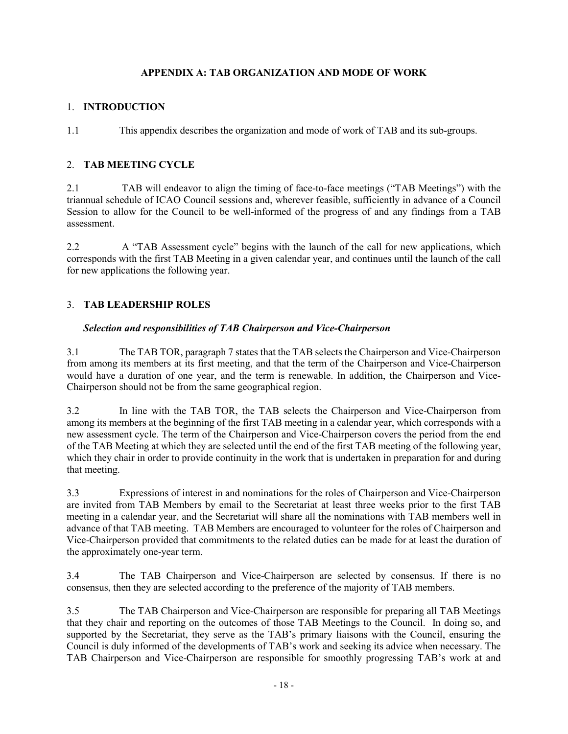## **APPENDIX A: TAB ORGANIZATION AND MODE OF WORK**

## 1. **INTRODUCTION**

1.1 This appendix describes the organization and mode of work of TAB and its sub-groups.

## 2. **TAB MEETING CYCLE**

2.1 TAB will endeavor to align the timing of face-to-face meetings ("TAB Meetings") with the triannual schedule of ICAO Council sessions and, wherever feasible, sufficiently in advance of a Council Session to allow for the Council to be well-informed of the progress of and any findings from a TAB assessment.

2.2 A "TAB Assessment cycle" begins with the launch of the call for new applications, which corresponds with the first TAB Meeting in a given calendar year, and continues until the launch of the call for new applications the following year.

### 3. **TAB LEADERSHIP ROLES**

#### *Selection and responsibilities of TAB Chairperson and Vice-Chairperson*

3.1 The TAB TOR, paragraph 7 states that the TAB selects the Chairperson and Vice-Chairperson from among its members at its first meeting, and that the term of the Chairperson and Vice-Chairperson would have a duration of one year, and the term is renewable. In addition, the Chairperson and Vice-Chairperson should not be from the same geographical region.

3.2 In line with the TAB TOR, the TAB selects the Chairperson and Vice-Chairperson from among its members at the beginning of the first TAB meeting in a calendar year, which corresponds with a new assessment cycle. The term of the Chairperson and Vice-Chairperson covers the period from the end of the TAB Meeting at which they are selected until the end of the first TAB meeting of the following year, which they chair in order to provide continuity in the work that is undertaken in preparation for and during that meeting.

3.3 Expressions of interest in and nominations for the roles of Chairperson and Vice-Chairperson are invited from TAB Members by email to the Secretariat at least three weeks prior to the first TAB meeting in a calendar year, and the Secretariat will share all the nominations with TAB members well in advance of that TAB meeting. TAB Members are encouraged to volunteer for the roles of Chairperson and Vice-Chairperson provided that commitments to the related duties can be made for at least the duration of the approximately one-year term.

3.4 The TAB Chairperson and Vice-Chairperson are selected by consensus. If there is no consensus, then they are selected according to the preference of the majority of TAB members.

3.5 The TAB Chairperson and Vice-Chairperson are responsible for preparing all TAB Meetings that they chair and reporting on the outcomes of those TAB Meetings to the Council. In doing so, and supported by the Secretariat, they serve as the TAB's primary liaisons with the Council, ensuring the Council is duly informed of the developments of TAB's work and seeking its advice when necessary. The TAB Chairperson and Vice-Chairperson are responsible for smoothly progressing TAB's work at and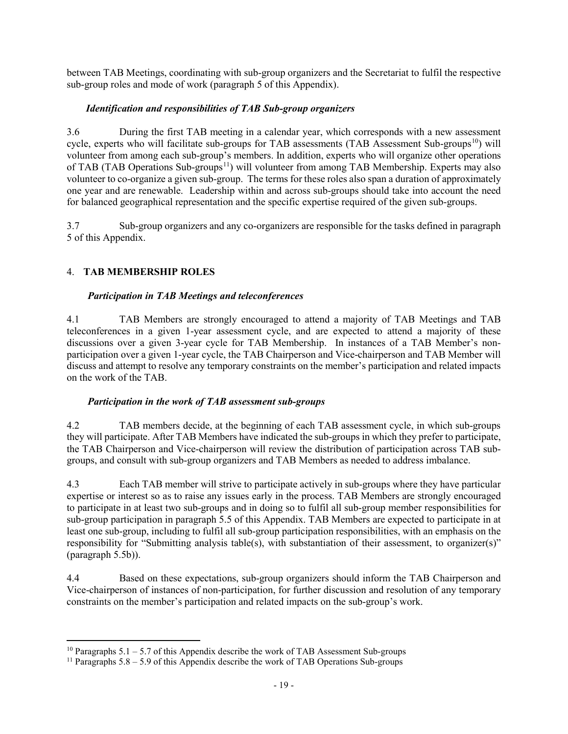between TAB Meetings, coordinating with sub-group organizers and the Secretariat to fulfil the respective sub-group roles and mode of work (paragraph [5](#page-19-0) of this Appendix).

## *Identification and responsibilities of TAB Sub-group organizers*

3.6 During the first TAB meeting in a calendar year, which corresponds with a new assessment cycle, experts who will facilitate sub-groups for TAB assessments (TAB Assessment Sub-groups<sup>10</sup>) will volunteer from among each sub-group's members. In addition, experts who will organize other operations of TAB (TAB Operations Sub-groups<sup>11</sup>) will volunteer from among TAB Membership. Experts may also volunteer to co-organize a given sub-group. The terms for these roles also span a duration of approximately one year and are renewable. Leadership within and across sub-groups should take into account the need for balanced geographical representation and the specific expertise required of the given sub-groups.

3.7 Sub-group organizers and any co-organizers are responsible for the tasks defined in paragraph [5](#page-19-0) of this Appendix.

# 4. **TAB MEMBERSHIP ROLES**

## *Participation in TAB Meetings and teleconferences*

4.1 TAB Members are strongly encouraged to attend a majority of TAB Meetings and TAB teleconferences in a given 1-year assessment cycle, and are expected to attend a majority of these discussions over a given 3-year cycle for TAB Membership. In instances of a TAB Member's nonparticipation over a given 1-year cycle, the TAB Chairperson and Vice-chairperson and TAB Member will discuss and attempt to resolve any temporary constraints on the member's participation and related impacts on the work of the TAB.

## *Participation in the work of TAB assessment sub-groups*

4.2 TAB members decide, at the beginning of each TAB assessment cycle, in which sub-groups they will participate. After TAB Members have indicated the sub-groups in which they prefer to participate, the TAB Chairperson and Vice-chairperson will review the distribution of participation across TAB subgroups, and consult with sub-group organizers and TAB Members as needed to address imbalance.

4.3 Each TAB member will strive to participate actively in sub-groups where they have particular expertise or interest so as to raise any issues early in the process. TAB Members are strongly encouraged to participate in at least two sub-groups and in doing so to fulfil all sub-group member responsibilities for sub-group participation in paragraph [5.5](#page-20-0) of this Appendix. TAB Members are expected to participate in at least one sub-group, including to fulfil all sub-group participation responsibilities, with an emphasis on the responsibility for "Submitting analysis table(s), with substantiation of their assessment, to organizer(s)" (paragraph [5.5b\)\)](#page-20-0).

4.4 Based on these expectations, sub-group organizers should inform the TAB Chairperson and Vice-chairperson of instances of non-participation, for further discussion and resolution of any temporary constraints on the member's participation and related impacts on the sub-group's work.

<span id="page-18-0"></span><sup>&</sup>lt;sup>10</sup> Paragraphs 5.1 – 5.7 of this Appendix describe the work of TAB Assessment Sub-groups

<span id="page-18-1"></span><sup>&</sup>lt;sup>11</sup> Paragraphs  $5.8 - 5.9$  of this Appendix describe the work of TAB Operations Sub-groups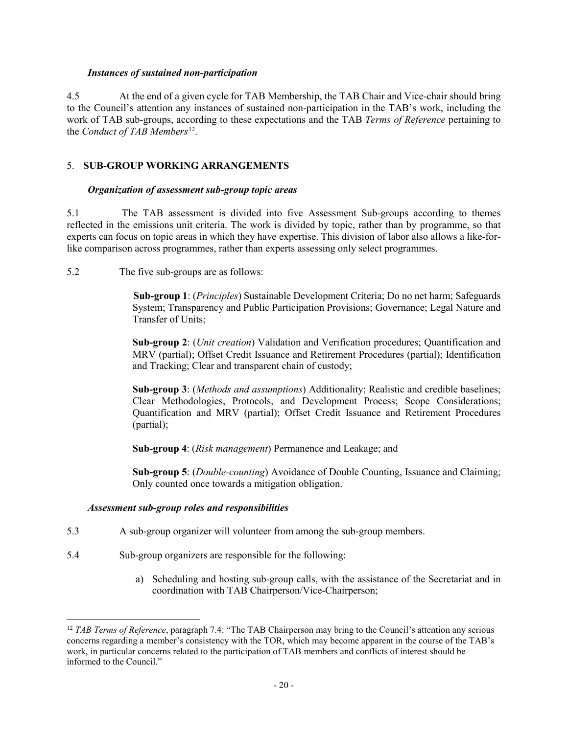#### *Instances of sustained non-participation*

4.5 At the end of a given cycle for TAB Membership, the TAB Chair and Vice-chair should bring to the Council's attention any instances of sustained non-participation in the TAB's work, including the work of TAB sub-groups, according to these expectations and the TAB *Terms of Reference* pertaining to the *Conduct of TAB Members*<sup>[12](#page-19-1)</sup>.

### <span id="page-19-0"></span>5. **SUB-GROUP WORKING ARRANGEMENTS**

#### *Organization of assessment sub-group topic areas*

5.1 The TAB assessment is divided into five Assessment Sub-groups according to themes reflected in the emissions unit criteria. The work is divided by topic, rather than by programme, so that experts can focus on topic areas in which they have expertise. This division of labor also allows a like-forlike comparison across programmes, rather than experts assessing only select programmes.

5.2 The five sub-groups are as follows:

**Sub-group 1**: (*Principles*) Sustainable Development Criteria; Do no net harm; Safeguards System; Transparency and Public Participation Provisions; Governance; Legal Nature and Transfer of Units;

**Sub-group 2**: (*Unit creation*) Validation and Verification procedures; Quantification and MRV (partial); Offset Credit Issuance and Retirement Procedures (partial); Identification and Tracking; Clear and transparent chain of custody;

**Sub-group 3**: (*Methods and assumptions*) Additionality; Realistic and credible baselines; Clear Methodologies, Protocols, and Development Process; Scope Considerations; Quantification and MRV (partial); Offset Credit Issuance and Retirement Procedures (partial);

**Sub-group 4**: (*Risk management*) Permanence and Leakage; and

**Sub-group 5**: (*Double-counting*) Avoidance of Double Counting, Issuance and Claiming; Only counted once towards a mitigation obligation.

#### *Assessment sub-group roles and responsibilities*

- 5.3 A sub-group organizer will volunteer from among the sub-group members.
- 5.4 Sub-group organizers are responsible for the following:
	- a) Scheduling and hosting sub-group calls, with the assistance of the Secretariat and in coordination with TAB Chairperson/Vice-Chairperson;

<span id="page-19-1"></span> <sup>12</sup> *TAB Terms of Reference*, paragraph 7.4: "The TAB Chairperson may bring to the Council's attention any serious concerns regarding a member's consistency with the TOR, which may become apparent in the course of the TAB's work, in particular concerns related to the participation of TAB members and conflicts of interest should be informed to the Council."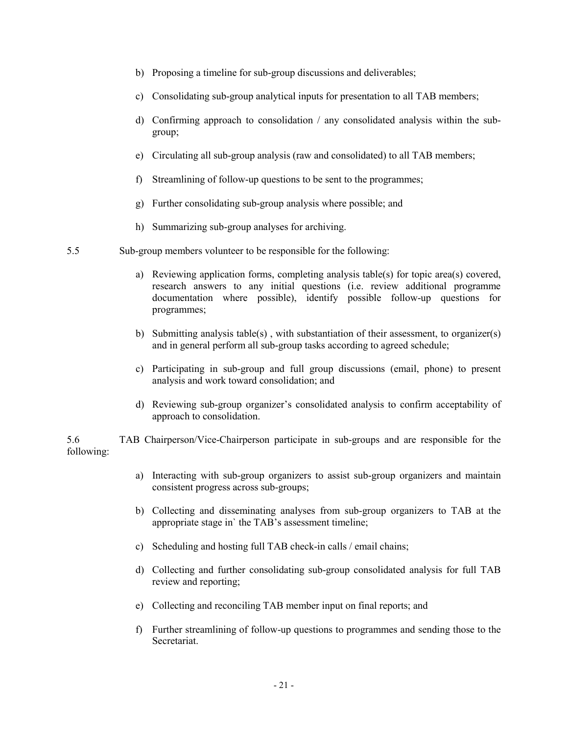- b) Proposing a timeline for sub-group discussions and deliverables;
- c) Consolidating sub-group analytical inputs for presentation to all TAB members;
- d) Confirming approach to consolidation / any consolidated analysis within the subgroup;
- e) Circulating all sub-group analysis (raw and consolidated) to all TAB members;
- f) Streamlining of follow-up questions to be sent to the programmes;
- g) Further consolidating sub-group analysis where possible; and
- <span id="page-20-0"></span>h) Summarizing sub-group analyses for archiving.
- 5.5 Sub-group members volunteer to be responsible for the following:
	- a) Reviewing application forms, completing analysis table(s) for topic area(s) covered, research answers to any initial questions (i.e. review additional programme documentation where possible), identify possible follow-up questions for programmes;
	- b) Submitting analysis table(s), with substantiation of their assessment, to organizer(s) and in general perform all sub-group tasks according to agreed schedule;
	- c) Participating in sub-group and full group discussions (email, phone) to present analysis and work toward consolidation; and
	- d) Reviewing sub-group organizer's consolidated analysis to confirm acceptability of approach to consolidation.

5.6 TAB Chairperson/Vice-Chairperson participate in sub-groups and are responsible for the following:

- a) Interacting with sub-group organizers to assist sub-group organizers and maintain consistent progress across sub-groups;
- b) Collecting and disseminating analyses from sub-group organizers to TAB at the appropriate stage in` the TAB's assessment timeline;
- c) Scheduling and hosting full TAB check-in calls / email chains;
- d) Collecting and further consolidating sub-group consolidated analysis for full TAB review and reporting;
- e) Collecting and reconciling TAB member input on final reports; and
- f) Further streamlining of follow-up questions to programmes and sending those to the Secretariat.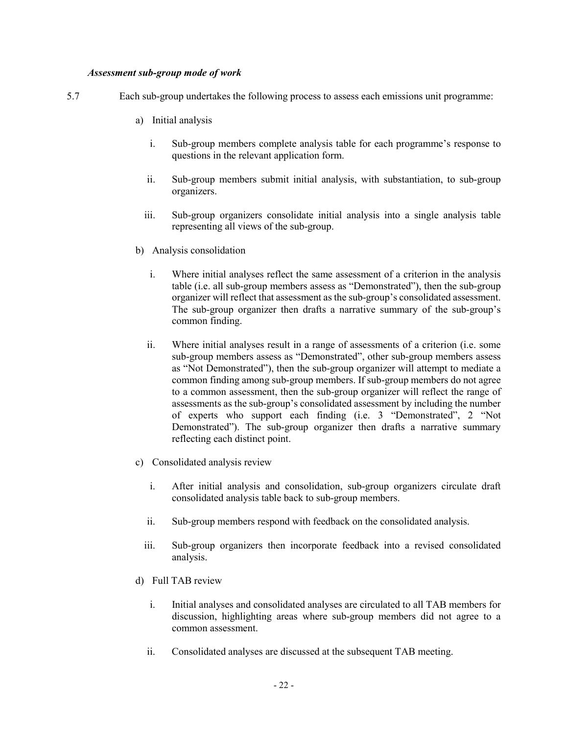#### *Assessment sub-group mode of work*

- 5.7 Each sub-group undertakes the following process to assess each emissions unit programme:
	- a) Initial analysis
		- i. Sub-group members complete analysis table for each programme's response to questions in the relevant application form.
		- ii. Sub-group members submit initial analysis, with substantiation, to sub-group organizers.
		- iii. Sub-group organizers consolidate initial analysis into a single analysis table representing all views of the sub-group.
	- b) Analysis consolidation
		- i. Where initial analyses reflect the same assessment of a criterion in the analysis table (i.e. all sub-group members assess as "Demonstrated"), then the sub-group organizer will reflect that assessment as the sub-group's consolidated assessment. The sub-group organizer then drafts a narrative summary of the sub-group's common finding.
		- ii. Where initial analyses result in a range of assessments of a criterion (i.e. some sub-group members assess as "Demonstrated", other sub-group members assess as "Not Demonstrated"), then the sub-group organizer will attempt to mediate a common finding among sub-group members. If sub-group members do not agree to a common assessment, then the sub-group organizer will reflect the range of assessments as the sub-group's consolidated assessment by including the number of experts who support each finding (i.e. 3 "Demonstrated", 2 "Not Demonstrated"). The sub-group organizer then drafts a narrative summary reflecting each distinct point.
	- c) Consolidated analysis review
		- i. After initial analysis and consolidation, sub-group organizers circulate draft consolidated analysis table back to sub-group members.
		- ii. Sub-group members respond with feedback on the consolidated analysis.
		- iii. Sub-group organizers then incorporate feedback into a revised consolidated analysis.
	- d) Full TAB review
		- i. Initial analyses and consolidated analyses are circulated to all TAB members for discussion, highlighting areas where sub-group members did not agree to a common assessment.
		- ii. Consolidated analyses are discussed at the subsequent TAB meeting.